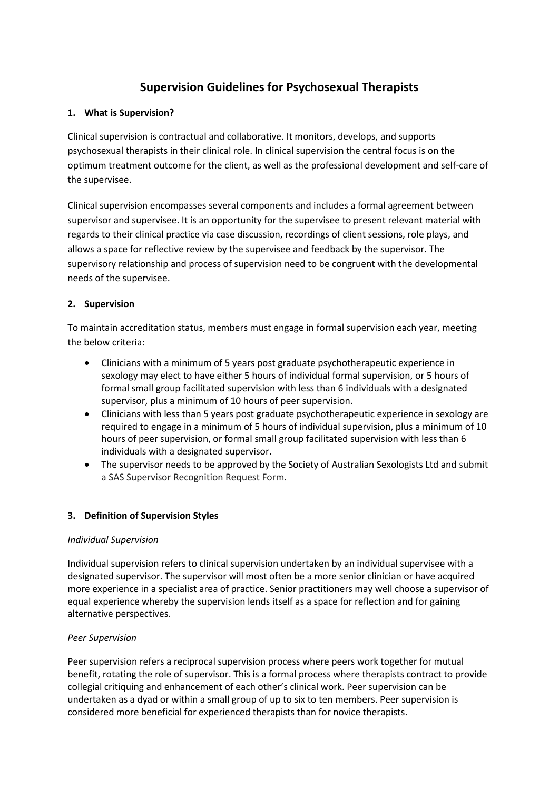# **Supervision Guidelines for Psychosexual Therapists**

## **1. What is Supervision?**

Clinical supervision is contractual and collaborative. It monitors, develops, and supports psychosexual therapists in their clinical role. In clinical supervision the central focus is on the optimum treatment outcome for the client, as well as the professional development and self-care of the supervisee.

Clinical supervision encompasses several components and includes a formal agreement between supervisor and supervisee. It is an opportunity for the supervisee to present relevant material with regards to their clinical practice via case discussion, recordings of client sessions, role plays, and allows a space for reflective review by the supervisee and feedback by the supervisor. The supervisory relationship and process of supervision need to be congruent with the developmental needs of the supervisee.

# **2. Supervision**

To maintain accreditation status, members must engage in formal supervision each year, meeting the below criteria:

- Clinicians with a minimum of 5 years post graduate psychotherapeutic experience in sexology may elect to have either 5 hours of individual formal supervision, or 5 hours of formal small group facilitated supervision with less than 6 individuals with a designated supervisor, plus a minimum of 10 hours of peer supervision.
- Clinicians with less than 5 years post graduate psychotherapeutic experience in sexology are required to engage in a minimum of 5 hours of individual supervision, plus a minimum of 10 hours of peer supervision, or formal small group facilitated supervision with less than 6 individuals with a designated supervisor.
- The supervisor needs to be approved by the Society of Australian Sexologists Ltd and submit a SAS Supervisor Recognition Request Form.

#### **3. Definition of Supervision Styles**

#### *Individual Supervision*

Individual supervision refers to clinical supervision undertaken by an individual supervisee with a designated supervisor. The supervisor will most often be a more senior clinician or have acquired more experience in a specialist area of practice. Senior practitioners may well choose a supervisor of equal experience whereby the supervision lends itself as a space for reflection and for gaining alternative perspectives.

#### *Peer Supervision*

Peer supervision refers a reciprocal supervision process where peers work together for mutual benefit, rotating the role of supervisor. This is a formal process where therapists contract to provide collegial critiquing and enhancement of each other's clinical work. Peer supervision can be undertaken as a dyad or within a small group of up to six to ten members. Peer supervision is considered more beneficial for experienced therapists than for novice therapists.